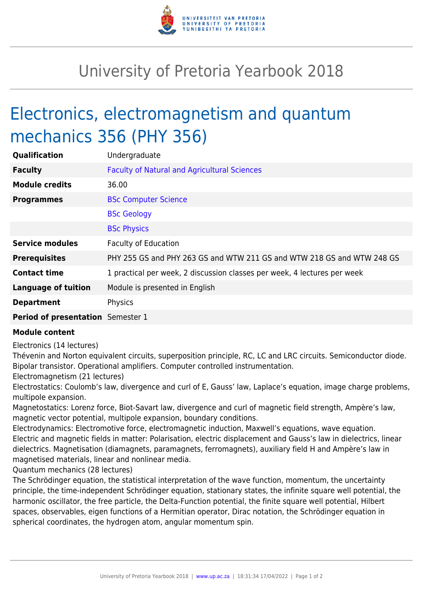

## University of Pretoria Yearbook 2018

## Electronics, electromagnetism and quantum mechanics 356 (PHY 356)

| Qualification                            | Undergraduate                                                            |
|------------------------------------------|--------------------------------------------------------------------------|
| <b>Faculty</b>                           | <b>Faculty of Natural and Agricultural Sciences</b>                      |
| <b>Module credits</b>                    | 36.00                                                                    |
| <b>Programmes</b>                        | <b>BSc Computer Science</b>                                              |
|                                          | <b>BSc Geology</b>                                                       |
|                                          | <b>BSc Physics</b>                                                       |
| <b>Service modules</b>                   | <b>Faculty of Education</b>                                              |
| <b>Prerequisites</b>                     | PHY 255 GS and PHY 263 GS and WTW 211 GS and WTW 218 GS and WTW 248 GS   |
| <b>Contact time</b>                      | 1 practical per week, 2 discussion classes per week, 4 lectures per week |
| <b>Language of tuition</b>               | Module is presented in English                                           |
| <b>Department</b>                        | Physics                                                                  |
| <b>Period of presentation</b> Semester 1 |                                                                          |

## **Module content**

Electronics (14 lectures)

Thévenin and Norton equivalent circuits, superposition principle, RC, LC and LRC circuits. Semiconductor diode. Bipolar transistor. Operational amplifiers. Computer controlled instrumentation.

Electromagnetism (21 lectures)

Electrostatics: Coulomb's law, divergence and curl of E, Gauss' law, Laplace's equation, image charge problems, multipole expansion.

Magnetostatics: Lorenz force, Biot-Savart law, divergence and curl of magnetic field strength, Ampère's law, magnetic vector potential, multipole expansion, boundary conditions.

Electrodynamics: Electromotive force, electromagnetic induction, Maxwell's equations, wave equation. Electric and magnetic fields in matter: Polarisation, electric displacement and Gauss's law in dielectrics, linear dielectrics. Magnetisation (diamagnets, paramagnets, ferromagnets), auxiliary field H and Ampère's law in magnetised materials, linear and nonlinear media.

Quantum mechanics (28 lectures)

The Schrödinger equation, the statistical interpretation of the wave function, momentum, the uncertainty principle, the time-independent Schrödinger equation, stationary states, the infinite square well potential, the harmonic oscillator, the free particle, the Delta-Function potential, the finite square well potential, Hilbert spaces, observables, eigen functions of a Hermitian operator, Dirac notation, the Schrödinger equation in spherical coordinates, the hydrogen atom, angular momentum spin.